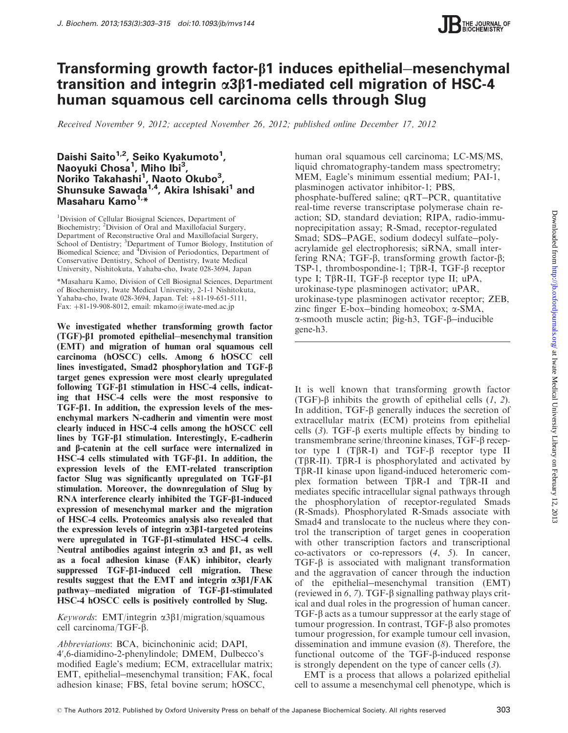

# Transforming growth factor- $\beta$ 1 induces epithelial–mesenchymal transition and integrin  $\alpha$ 3 $\beta$ 1-mediated cell migration of HSC-4 human squamous cell carcinoma cells through Slug

Received November 9, 2012; accepted November 26, 2012; published online December 17, 2012

## Daishi Saito<sup>1,2</sup>, Seiko Kyakumoto<sup>1</sup>, Naoyuki Chosa<sup>1</sup>, Miho Ibi<sup>3</sup>, Noriko Takahashi<sup>1</sup>, Naoto Okubo<sup>3</sup>, Shunsuke Sawada<sup>1,4</sup>, Akira Ishisaki<sup>1</sup> and Masaharu Kamo<sup>1,\*</sup>

<sup>1</sup>Division of Cellular Biosignal Sciences, Department of Biochemistry; <sup>2</sup> Division of Oral and Maxillofacial Surgery, Department of Reconstructive Oral and Maxillofacial Surgery, School of Dentistry; <sup>3</sup>Department of Tumor Biology, Institution of Biomedical Science; and <sup>4</sup>Division of Periodontics, Department of Conservative Dentistry, School of Dentistry, Iwate Medical University, Nishitokuta, Yahaba-cho, Iwate 028-3694, Japan

\*Masaharu Kamo, Division of Cell Biosignal Sciences, Department of Biochemistry, Iwate Medical University, 2-1-1 Nishitokuta, Yahaba-cho, Iwate 028-3694, Japan. Tel: +81-19-651-5111, Fax:  $+81-19-908-8012$ , email: mkamo@iwate-med.ac.jp

We investigated whether transforming growth factor (TGF)-b1 promoted epithelial-mesenchymal transition (EMT) and migration of human oral squamous cell carcinoma (hOSCC) cells. Among 6 hOSCC cell lines investigated, Smad2 phosphorylation and TGF-b target genes expression were most clearly upregulated following  $TGF- $\beta$ 1 stimulation in HSC-4 cells, indicate$ ing that HSC-4 cells were the most responsive to TGF-b1. In addition, the expression levels of the mesenchymal markers N-cadherin and vimentin were most clearly induced in HSC-4 cells among the hOSCC cell lines by  $TGF- $\beta$ 1 stimulation. Interestingly, E-cadherin$ and b-catenin at the cell surface were internalized in HSC-4 cells stimulated with  $TGF- $\beta$ 1. In addition, the$ expression levels of the EMT-related transcription factor Slug was significantly upregulated on TGF-b1 stimulation. Moreover, the downregulation of Slug by RNA interference clearly inhibited the  $TGF-\beta1$ -induced expression of mesenchymal marker and the migration of HSC-4 cells. Proteomics analysis also revealed that the expression levels of integrin  $\alpha$ 3 $\beta$ 1-targeted proteins were upregulated in TGF-b1-stimulated HSC-4 cells. Neutral antibodies against integrin  $\alpha$ 3 and  $\beta$ 1, as well as a focal adhesion kinase (FAK) inhibitor, clearly suppressed TGF- $\beta$ 1-induced cell migration. These results suggest that the EMT and integrin  $\alpha$ 3 $\beta$ 1/FAK pathway-mediated migration of TGF- $\beta$ 1-stimulated HSC-4 hOSCC cells is positively controlled by Slug.

Keywords: EMT/integrin  $\alpha$ 3 $\beta$ 1/migration/squamous cell carcinoma/TGF-b.

Abbreviations: BCA, bicinchoninic acid; DAPI, 4',6-diamidino-2-phenylindole; DMEM, Dulbecco's modified Eagle's medium; ECM, extracellular matrix; EMT, epithelial-mesenchymal transition; FAK, focal adhesion kinase; FBS, fetal bovine serum; hOSCC,

human oral squamous cell carcinoma; LC-MS/MS, liquid chromatography-tandem mass spectrometry; MEM, Eagle's minimum essential medium; PAI-1, plasminogen activator inhibitor-1; PBS, phosphate-buffered saline; qRT-PCR, quantitative real-time reverse transcriptase polymerase chain reaction; SD, standard deviation; RIPA, radio-immunoprecipitation assay; R-Smad, receptor-regulated Smad; SDS-PAGE, sodium dodecyl sulfate-polyacrylamide gel electrophoresis; siRNA, small interfering RNA;  $TGF- $\beta$ , transforming growth factor- $\beta$ ;$ TSP-1, thrombospondine-1;  $T\beta R$ -I,  $TGF-\beta$  receptor type I; T $\beta$ R-II, TGF- $\beta$  receptor type II; uPA, urokinase-type plasminogen activator; uPAR, urokinase-type plasminogen activator receptor; ZEB, zinc finger E-box-binding homeobox; a-SMA,  $\alpha$ -smooth muscle actin;  $\beta$ ig-h3, TGF- $\beta$ -inducible gene-h3.

It is well known that transforming growth factor (TGF)- $\beta$  inhibits the growth of epithelial cells ([1](#page-10-0), [2](#page-10-0)). In addition,  $TGF- $\beta$  generally induces the secretion of$ extracellular matrix (ECM) proteins from epithelial cells  $(3)$  $(3)$  $(3)$ . TGF- $\beta$  exerts multiple effects by binding to transmembrane serine/threonine kinases, TGF-b receptor type I (T $\beta$ R-I) and TGF- $\beta$  receptor type II  $(T\beta R-II)$ . T $\beta R-I$  is phosphorylated and activated by TbR-II kinase upon ligand-induced heteromeric complex formation between  $T\beta R-I$  and  $T\beta R-II$  and mediates specific intracellular signal pathways through the phosphorylation of receptor-regulated Smads (R-Smads). Phosphorylated R-Smads associate with Smad4 and translocate to the nucleus where they control the transcription of target genes in cooperation with other transcription factors and transcriptional co-activators or co-repressors ([4](#page-10-0), [5](#page-10-0)). In cancer,  $TGF- $\beta$  is associated with malignant transformation$ and the aggravation of cancer through the induction of the epithelial-mesenchymal transition (EMT) (reviewed in [6](#page-10-0), [7](#page-10-0)). TGF- $\beta$  signalling pathway plays critical and dual roles in the progression of human cancer.  $TGF-\beta$  acts as a tumour suppressor at the early stage of tumour progression. In contrast,  $TGF-\beta$  also promotes tumour progression, for example tumour cell invasion, dissemination and immune evasion ([8](#page-10-0)). Therefore, the functional outcome of the TGF-b-induced response is strongly dependent on the type of cancer cells ([3](#page-10-0)).

EMT is a process that allows a polarized epithelial cell to assume a mesenchymal cell phenotype, which is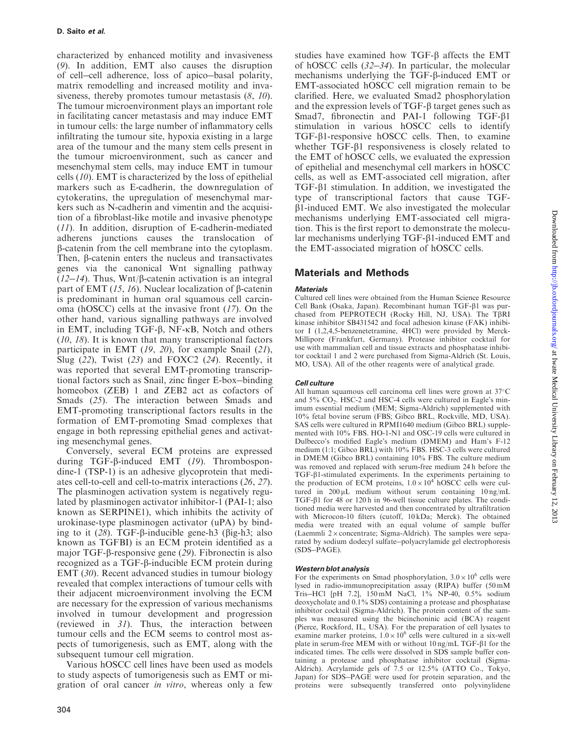characterized by enhanced motility and invasiveness ([9](#page-10-0)). In addition, EMT also causes the disruption of cell-cell adherence, loss of apico-basal polarity, matrix remodelling and increased motility and invasiveness, thereby promotes tumour metastasis  $(8, 10)$  $(8, 10)$  $(8, 10)$  $(8, 10)$  $(8, 10)$ . The tumour microenvironment plays an important role in facilitating cancer metastasis and may induce EMT in tumour cells: the large number of inflammatory cells infiltrating the tumour site, hypoxia existing in a large area of the tumour and the many stem cells present in the tumour microenvironment, such as cancer and mesenchymal stem cells, may induce EMT in tumour cells ([10](#page-10-0)). EMT is characterized by the loss of epithelial markers such as E-cadherin, the downregulation of cytokeratins, the upregulation of mesenchymal markers such as N-cadherin and vimentin and the acquisition of a fibroblast-like motile and invasive phenotype ([11](#page-10-0)). In addition, disruption of E-cadherin-mediated adherens junctions causes the translocation of b-catenin from the cell membrane into the cytoplasm. Then,  $\beta$ -catenin enters the nucleus and transactivates genes via the canonical Wnt signalling pathway ( $12-14$  $12-14$  $12-14$ ). Thus, Wnt/ $\beta$ -catenin activation is an integral part of EMT ([15](#page-10-0), [16](#page-10-0)). Nuclear localization of  $\beta$ -catenin is predominant in human oral squamous cell carcinoma (hOSCC) cells at the invasive front ([17](#page-10-0)). On the other hand, various signalling pathways are involved in EMT, including TGF-b, NF-kB, Notch and others ([10](#page-10-0), [18](#page-10-0)). It is known that many transcriptional factors participate in EMT ([19](#page-10-0), [20](#page-10-0)), for example Snail ([21](#page-10-0)), Slug  $(22)$  $(22)$  $(22)$ , Twist  $(23)$  $(23)$  $(23)$  and FOXC2  $(24)$  $(24)$  $(24)$ . Recently, it was reported that several EMT-promoting transcriptional factors such as Snail, zinc finger E-box-binding homeobox (ZEB) 1 and ZEB2 act as cofactors of Smads ([25](#page-11-0)). The interaction between Smads and EMT-promoting transcriptional factors results in the formation of EMT-promoting Smad complexes that engage in both repressing epithelial genes and activating mesenchymal genes.

Conversely, several ECM proteins are expressed during TGF-b-induced EMT ([19](#page-10-0)). Thrombospondine-1 (TSP-1) is an adhesive glycoprotein that mediates cell-to-cell and cell-to-matrix interactions ([26](#page-11-0), [27](#page-11-0)). The plasminogen activation system is negatively regulated by plasminogen activator inhibitor-1 (PAI-1; also known as SERPINE1), which inhibits the activity of urokinase-type plasminogen activator (uPA) by binding to it  $(28)$  $(28)$  $(28)$ . TGF- $\beta$ -inducible gene-h3 ( $\beta$ ig-h3; also known as TGFBI) is an ECM protein identified as a major TGF- $\beta$ -responsive gene ([29](#page-11-0)). Fibronectin is also recognized as a TGF-b-inducible ECM protein during EMT ([30](#page-11-0)). Recent advanced studies in tumour biology revealed that complex interactions of tumour cells with their adjacent microenvironment involving the ECM are necessary for the expression of various mechanisms involved in tumour development and progression (reviewed in [31](#page-11-0)). Thus, the interaction between tumour cells and the ECM seems to control most aspects of tumorigenesis, such as EMT, along with the subsequent tumour cell migration.

Various hOSCC cell lines have been used as models to study aspects of tumorigenesis such as EMT or migration of oral cancer in vitro, whereas only a few

studies have examined how TGF- $\beta$  affects the EMT of hOSCC cells ([32](#page-11-0)-[34](#page-11-0)). In particular, the molecular mechanisms underlying the TGF- $\beta$ -induced EMT or EMT-associated hOSCC cell migration remain to be clarified. Here, we evaluated Smad2 phosphorylation and the expression levels of  $TGF- $\beta$  target genes such as$ Smad7, fibronectin and PAI-1 following TGF- $\beta$ 1 stimulation in various hOSCC cells to identify  $TGF- $\beta$ 1-response$  hOSCC cells. Then, to examine whether  $TGF- $\beta$ 1 responsiveness is closely related to$ the EMT of hOSCC cells, we evaluated the expression of epithelial and mesenchymal cell markers in hOSCC cells, as well as EMT-associated cell migration, after  $TGF- $\beta$ 1 stimulation. In addition, we investigated the$ type of transcriptional factors that cause TGF- $\beta$ 1-induced EMT. We also investigated the molecular mechanisms underlying EMT-associated cell migration. This is the first report to demonstrate the molecular mechanisms underlying  $TGF- $\beta$ 1-induced EMT and$ the EMT-associated migration of hOSCC cells.

## Materials and Methods

## **Materials**

Cultured cell lines were obtained from the Human Science Resource Cell Bank (Osaka, Japan). Recombinant human TGF-b1 was purchased from PEPROTECH (Rocky Hill, NJ, USA). The T $\beta$ RI kinase inhibitor SB431542 and focal adhesion kinase (FAK) inhibitor I (1,2,4,5-benzenetetramine, 4HCl) were provided by Merck-Millipore (Frankfurt, Germany). Protease inhibitor cocktail for use with mammalian cell and tissue extracts and phosphatase inhibitor cocktail 1 and 2 were purchased from Sigma-Aldrich (St. Louis, MO, USA). All of the other reagents were of analytical grade.

### Cell culture

All human squamous cell carcinoma cell lines were grown at 37°C and  $5\%$  CO<sub>2</sub>. HSC-2 and HSC-4 cells were cultured in Eagle's minimum essential medium (MEM; Sigma-Aldrich) supplemented with 10% fetal bovine serum (FBS; Gibco BRL, Rockville, MD, USA). SAS cells were cultured in RPMI1640 medium (Gibco BRL) supplemented with 10% FBS. HO-1-N1 and OSC-19 cells were cultured in Dulbecco's modified Eagle's medium (DMEM) and Ham's F-12 medium (1:1; Gibco BRL) with 10% FBS. HSC-3 cells were cultured in DMEM (Gibco BRL) containing 10% FBS. The culture medium was removed and replaced with serum-free medium 24 h before the TGF-b1-stimulated experiments. In the experiments pertaining to the production of ECM proteins,  $1.0 \times 10^4$  hOSCC cells were cultured in  $200 \mu L$  medium without serum containing  $10 \text{ ng/mL}$ TGF-b1 for 48 or 120 h in 96-well tissue culture plates. The conditioned media were harvested and then concentrated by ultrafiltration with Microcon-10 filters (cutoff, 10 kDa; Merck). The obtained media were treated with an equal volume of sample buffer (Laemmli  $2 \times$  concentrate; Sigma-Aldrich). The samples were separated by sodium dodecyl sulfate-polyacrylamide gel electrophoresis (SDS-PAGE).

### Western blot analysis

For the experiments on Smad phosphorylation,  $3.0 \times 10^6$  cells were lysed in radio-immunoprecipitation assay (RIPA) buffer (50 mM Tris-HCl [pH 7.2], 150 mM NaCl, 1% NP-40, 0.5% sodium deoxycholate and 0.1% SDS) containing a protease and phosphatase inhibitor cocktail (Sigma-Aldrich). The protein content of the samples was measured using the bicinchoninic acid (BCA) reagent (Pierce, Rockford, IL, USA). For the preparation of cell lysates to examine marker proteins,  $1.0 \times 10^6$  cells were cultured in a six-well plate in serum-free MEM with or without 10 ng/mL TGF- $\beta$ 1 for the indicated times. The cells were dissolved in SDS sample buffer containing a protease and phosphatase inhibitor cocktail (Sigma-Aldrich). Acrylamide gels of 7.5 or 12.5% (ATTO Co., Tokyo, Japan) for SDS-PAGE were used for protein separation, and the proteins were subsequently transferred onto polyvinylidene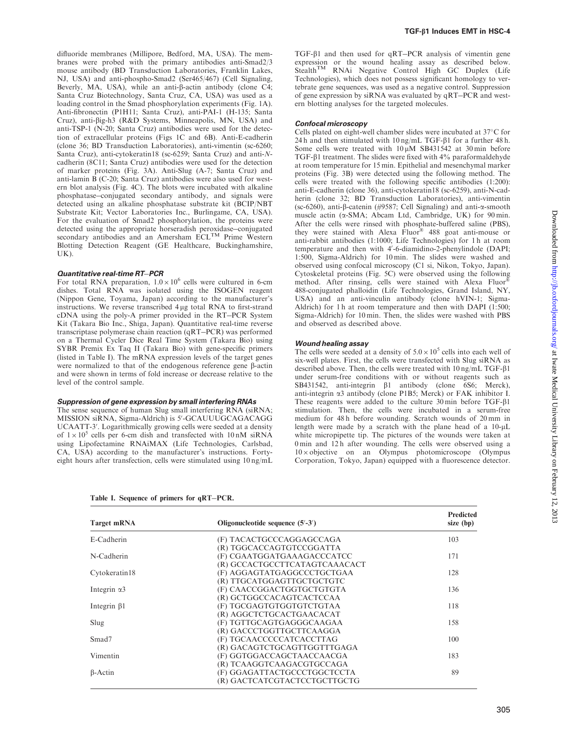<span id="page-2-0"></span>difluoride membranes (Millipore, Bedford, MA, USA). The membranes were probed with the primary antibodies anti-Smad2/3 mouse antibody (BD Transduction Laboratories, Franklin Lakes, NJ, USA) and anti-phospho-Smad2 (Ser465/467) (Cell Signaling, Beverly, MA, USA), while an anti- $\beta$ -actin antibody (clone C4; Santa Cruz Biotechnology, Santa Cruz, CA, USA) was used as a loading control in the Smad phosphorylation experiments [\(Fig. 1](#page-3-0)A). Anti-fibronectin (P1H11; Santa Cruz), anti-PAI-1 (H-135; Santa Cruz), anti-big-h3 (R&D Systems, Minneapolis, MN, USA) and anti-TSP-1 (N-20; Santa Cruz) antibodies were used for the detection of extracellular proteins [\(Figs 1C](#page-3-0) and [6](#page-8-0)B). Anti-E-cadherin (clone 36; BD Transduction Laboratories), anti-vimentin (sc-6260; Santa Cruz), anti-cytokeratin18 (sc-6259; Santa Cruz) and anti-Ncadherin (8C11; Santa Cruz) antibodies were used for the detection of marker proteins ([Fig. 3A](#page-5-0)). Anti-Slug (A-7; Santa Cruz) and anti-lamin B (C-20; Santa Cruz) antibodies were also used for western blot analysis [\(Fig. 4](#page-6-0)C). The blots were incubated with alkaline phosphatase-conjugated secondary antibody, and signals were detected using an alkaline phosphatase substrate kit (BCIP/NBT Substrate Kit; Vector Laboratories Inc., Burlingame, CA, USA). For the evaluation of Smad2 phosphorylation, the proteins were detected using the appropriate horseradish peroxidase-conjugated secondary antibodies and an Amersham ECL<sup>TM</sup> Prime Western Blotting Detection Reagent (GE Healthcare, Buckinghamshire, UK).

#### Quantitative real-time RT-PCR

For total RNA preparation,  $1.0 \times 10^6$  cells were cultured in 6-cm dishes. Total RNA was isolated using the ISOGEN reagent (Nippon Gene, Toyama, Japan) according to the manufacturer's instructions. We reverse transcribed  $4 \mu$ g total RNA to first-strand cDNA using the poly-A primer provided in the RT-PCR System Kit (Takara Bio Inc., Shiga, Japan). Quantitative real-time reverse transcriptase polymerase chain reaction (qRT-PCR) was performed on a Thermal Cycler Dice Real Time System (Takara Bio) using SYBR Premix Ex Taq II (Takara Bio) with gene-specific primers (listed in Table I). The mRNA expression levels of the target genes were normalized to that of the endogenous reference gene  $\beta$ -actin and were shown in terms of fold increase or decrease relative to the level of the control sample.

#### Suppression of gene expression by small interfering RNAs

The sense sequence of human Slug small interfering RNA (siRNA; MISSION siRNA, Sigma-Aldrich) is 5'-GCAUUUGCAGACAGG UCAATT-3'. Logarithmically growing cells were seeded at a density of  $1 \times 10^5$  cells per 6-cm dish and transfected with 10 nM siRNA using Lipofectamine RNAiMAX (Life Technologies, Carlsbad, CA, USA) according to the manufacturer's instructions. Fortyeight hours after transfection, cells were stimulated using 10 ng/mL

TGF-b1 and then used for qRT-PCR analysis of vimentin gene expression or the wound healing assay as described below. Stealth<sup>TM</sup> RNAi Negative Control High GC Duplex (Life Technologies), which does not possess significant homology to vertebrate gene sequences, was used as a negative control. Suppression of gene expression by siRNA was evaluated by qRT-PCR and western blotting analyses for the targeted molecules.

#### Confocal microscopy

Cells plated on eight-well chamber slides were incubated at 37°C for 24 h and then stimulated with  $10 \text{ ng/mL TGF-}\beta1$  for a further 48 h. Some cells were treated with  $10 \mu M$  SB431542 at 30 min before TGF- $\beta$ 1 treatment. The slides were fixed with 4% paraformaldehyde at room temperature for 15 min. Epithelial and mesenchymal marker proteins ([Fig. 3B](#page-5-0)) were detected using the following method. The cells were treated with the following specific antibodies (1:200): anti-E-cadherin (clone 36), anti-cytokeratin18 (sc-6259), anti-N-cadherin (clone 32; BD Transduction Laboratories), anti-vimentin (sc-6260), anti-b-catenin (#9587; Cell Signaling) and anti-a-smooth muscle actin ( $\alpha$ -SMA; Abcam Ltd, Cambridge, UK) for 90 min. After the cells were rinsed with phosphate-buffered saline (PBS), they were stained with Alexa  $\hat{F}$ luor<sup>®</sup> 488 goat anti-mouse or anti-rabbit antibodies (1:1000; Life Technologies) for 1 h at room temperature and then with 4'-6-diamidino-2-phenylindole (DAPI; 1:500, Sigma-Aldrich) for 10 min. The slides were washed and observed using confocal microscopy (C1 si, Nikon, Tokyo, Japan). Cytoskeletal proteins [\(Fig. 5](#page-7-0)C) were observed using the following method. After rinsing, cells were stained with Alexa Fluor 488-conjugated phalloidin (Life Technologies, Grand Island, NY, USA) and an anti-vinculin antibody (clone hVIN-1; Sigma-Aldrich) for 1 h at room temperature and then with DAPI (1:500; Sigma-Aldrich) for 10 min. Then, the slides were washed with PBS and observed as described above.

#### Wound healing assay

The cells were seeded at a density of  $5.0 \times 10^5$  cells into each well of six-well plates. First, the cells were transfected with Slug siRNA as described above. Then, the cells were treated with 10 ng/mL TGF-b1 under serum-free conditions with or without reagents such as  $SB431542$ , anti-integrin  $\beta1$  antibody (clone 6S6; Merck), anti-integrin a3 antibody (clone P1B5; Merck) or FAK inhibitor I. These reagents were added to the culture  $30 \text{ min}$  before TGF- $\beta$ 1 stimulation. Then, the cells were incubated in a serum-free medium for 48 h before wounding. Scratch wounds of 20 mm in length were made by a scratch with the plane head of a  $10-\mu L$ white micropipette tip. The pictures of the wounds were taken at 0 min and 12 h after wounding. The cells were observed using a  $10 \times$ objective on an Olympus photomicroscope (Olympus Corporation, Tokyo, Japan) equipped with a fluorescence detector.

|  |  | Table I. Sequence of primers for qRT-PCR. |
|--|--|-------------------------------------------|
|  |  |                                           |

| <b>Target mRNA</b>  | Oligonucleotide sequence $(5' - 3')$ | Predicted<br>size (bp) |  |
|---------------------|--------------------------------------|------------------------|--|
| E-Cadherin          | (F) TACACTGCCCAGGAGCCAGA             | 103                    |  |
|                     | (R) TGGCACCAGTGTCCGGATTA             |                        |  |
| N-Cadherin          | (F) CGAATGGATGAAAGACCCATCC           | 171                    |  |
|                     | (R) GCCACTGCCTTCATAGTCAAACACT        |                        |  |
| Cytokeratin18       | (F) AGGAGTATGAGGCCCTGCTGAA           | 128                    |  |
|                     | (R) TTGCATGGAGTTGCTGCTGTC            |                        |  |
| Integrin $\alpha$ 3 | (F) CAACCGGACTGGTGCTGTGTA            | 136                    |  |
|                     | (R) GCTGGCCACAGTCACTCCAA             |                        |  |
| Integrin $\beta$ 1  | (F) TGCGAGTGTGGTGTCTGTAA             | 118                    |  |
|                     | (R) AGGCTCTGCACTGAACACAT             |                        |  |
| Slug                | (F) TGTTGCAGTGAGGGCAAGAA             | 158                    |  |
|                     | (R) GACCCTGGTTGCTTCAAGGA             |                        |  |
| Smad <sub>7</sub>   | (F) TGCAACCCCCATCACCTTAG             | 100                    |  |
|                     | (R) GACAGTCTGCAGTTGGTTTGAGA          |                        |  |
| Vimentin            | (F) GGTGGACCAGCTAACCAACGA            | 183                    |  |
|                     | (R) TCAAGGTCAAGACGTGCCAGA            |                        |  |
| $\beta$ -Actin      | (F) GGAGATTACTGCCCTGGCTCCTA          | 89                     |  |
|                     | (R) GACTCATCGTACTCCTGCTTGCTG         |                        |  |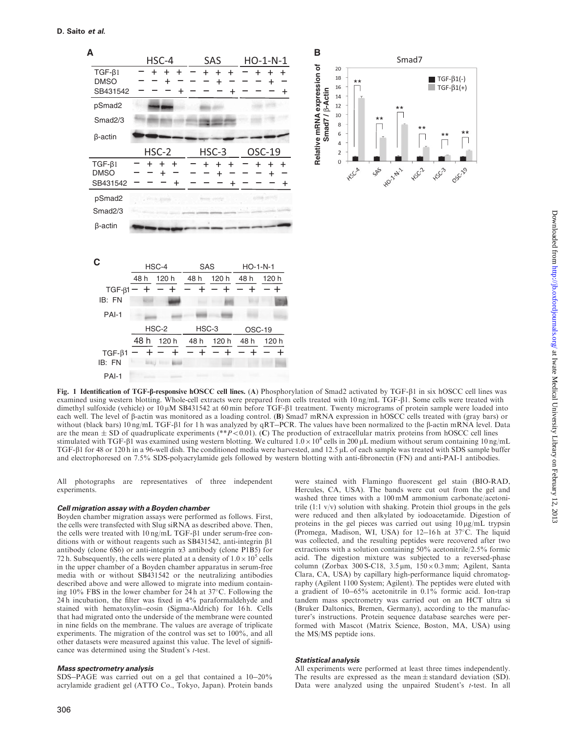<span id="page-3-0"></span>

Fig. 1 Identification of TGF-f-responsive hOSCC cell lines. (A) Phosphorylation of Smad2 activated by TGF- $\beta$ 1 in six hOSCC cell lines was examined using western blotting. Whole-cell extracts were prepared from cells treated with 10 ng/mL TGF- $\beta$ 1. Some cells were treated with dimethyl sulfoxide (vehicle) or  $10 \mu$ M SB431542 at 60 min before TGF- $\beta$ 1 treatment. Twenty micrograms of protein sample were loaded into each well. The level of  $\beta$ -actin was monitored as a loading control. (B) Smad7 mRNA expression in hOSCC cells treated with (gray bars) or without (black bars)  $10 \text{ ng/mL TGF-}\beta1$  for 1 h was analyzed by  $qRT-PCR$ . The values have been normalized to the  $\beta$ -actin mRNA level. Data are the mean  $\pm$  SD of quadruplicate experiments (\*\*P < 0.01). (C) The production of extracellular matrix proteins from hOSCC cell lines stimulated with TGF- $\beta$ 1 was examined using western blotting. We cultured  $1.0 \times 10^4$  cells in 200 µL medium without serum containing 10 ng/mL TGF- $\beta$ 1 for 48 or 120 h in a 96-well dish. The conditioned media were harvested, and 12.5  $\mu$ L of each sample was treated with SDS sample buffer and electrophoresed on 7.5% SDS-polyacrylamide gels followed by western blotting with anti-fibronectin (FN) and anti-PAI-1 antibodies.

All photographs are representatives of three independent experiments.

#### Cell migration assay with a Boyden chamber

Boyden chamber migration assays were performed as follows. First, the cells were transfected with Slug siRNA as described above. Then, the cells were treated with  $10 \text{ ng/mL TGF-}\beta1$  under serum-free conditions with or without reagents such as SB431542, anti-integrin  $\beta$ 1 antibody (clone 6S6) or anti-integrin  $\alpha$ 3 antibody (clone P1B5) for 72 h. Subsequently, the cells were plated at a density of  $1.0 \times 10^5$  cells in the upper chamber of a Boyden chamber apparatus in serum-free media with or without SB431542 or the neutralizing antibodies described above and were allowed to migrate into medium containing  $10\%$  FBS in the lower chamber for 24h at 37°C. Following the 24 h incubation, the filter was fixed in 4% paraformaldehyde and stained with hematoxylin-eosin (Sigma-Aldrich) for 16 h. Cells that had migrated onto the underside of the membrane were counted in nine fields on the membrane. The values are average of triplicate experiments. The migration of the control was set to 100%, and all other datasets were measured against this value. The level of significance was determined using the Student's t-test.

#### Mass spectrometry analysis

SDS-PAGE was carried out on a gel that contained a 10-20% acrylamide gradient gel (ATTO Co., Tokyo, Japan). Protein bands

were stained with Flamingo fluorescent gel stain (BIO-RAD, Hercules, CA, USA). The bands were cut out from the gel and washed three times with a 100 mM ammonium carbonate/acetonitrile  $(1:1 \text{ v/v})$  solution with shaking. Protein thiol groups in the gels were reduced and then alkylated by iodoacetamide. Digestion of proteins in the gel pieces was carried out using  $10 \mu g/mL$  trypsin (Promega, Madison, WI, USA) for 12-16h at 37°C. The liquid was collected, and the resulting peptides were recovered after two extractions with a solution containing 50% acetonitrile/2.5% formic acid. The digestion mixture was subjected to a reversed-phase column (Zorbax  $300 S-C18$ ,  $3.5 \mu m$ ,  $150 \times 0.3 \text{ mm}$ ; Agilent, Santa Clara, CA, USA) by capillary high-performance liquid chromatography (Agilent 1100 System; Agilent). The peptides were eluted with a gradient of 10-65% acetonitrile in 0.1% formic acid. Ion-trap tandem mass spectrometry was carried out on an HCT ultra si (Bruker Daltonics, Bremen, Germany), according to the manufacturer's instructions. Protein sequence database searches were performed with Mascot (Matrix Science, Boston, MA, USA) using the MS/MS peptide ions.

#### Statistical analysis

All experiments were performed at least three times independently. The results are expressed as the mean  $\pm$  standard deviation (SD). Data were analyzed using the unpaired Student's t-test. In all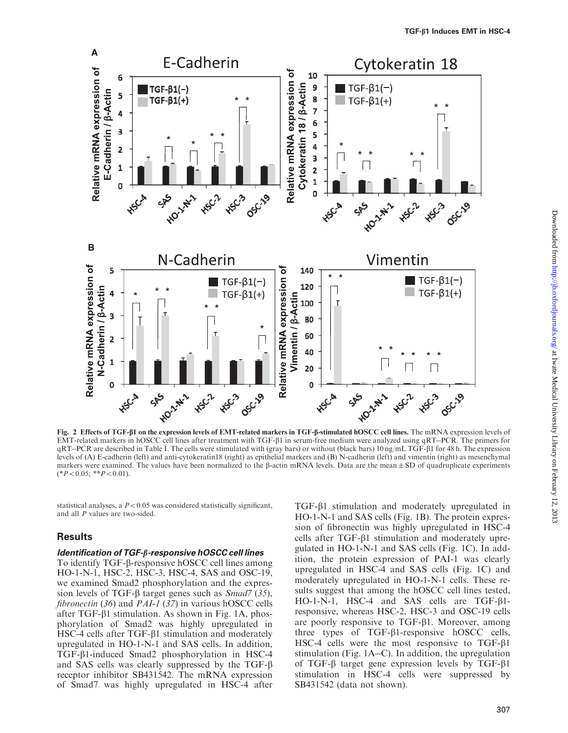<span id="page-4-0"></span>

Fig. 2 Effects of TGF-b1 on the expression levels of EMT-related markers in TGF-b-stimulated hOSCC cell lines. The mRNA expression levels of EMT-related markers in hOSCC cell lines after treatment with TGF- $\beta$ 1 in serum-free medium were analyzed using qRT-PCR. The primers for qRT-PCR are described in [Table I](#page-2-0). The cells were stimulated with (gray bars) or without (black bars) 10 ng/mL TGF-b1 for 48 h. The expression levels of (A) E-cadherin (left) and anti-cytokeratin18 (right) as epithelial markers and (B) N-cadherin (left) and vimentin (right) as mesenchymal markers were examined. The values have been normalized to the  $\beta$ -actin mRNA levels. Data are the mean  $\pm$  SD of quadruplicate experiments  $(*P<0.05; **P<0.01).$ 

statistical analyses, a  $P < 0.05$  was considered statistically significant, and all P values are two-sided.

## **Results**

### Identification of TGF-b-responsive hOSCC cell lines

To identify TGF-b-responsive hOSCC cell lines among HO-1-N-1, HSC-2, HSC-3, HSC-4, SAS and OSC-19, we examined Smad2 phosphorylation and the expression levels of TGF- $\beta$  target genes such as *Smad*7 ([35](#page-11-0)), fibronectin ([36](#page-11-0)) and *PAI-1* ([37](#page-11-0)) in various hOSCC cells after TGF- $\beta$ 1 stimulation. As shown in [Fig. 1](#page-3-0)A, phosphorylation of Smad2 was highly upregulated in HSC-4 cells after  $TGF- $\beta$ 1 stimulation and moderately$ upregulated in HO-1-N-1 and SAS cells. In addition, TGF-b1-induced Smad2 phosphorylation in HSC-4 and SAS cells was clearly suppressed by the TGF- $\beta$ receptor inhibitor SB431542. The mRNA expression of Smad7 was highly upregulated in HSC-4 after

TGF-b1 stimulation and moderately upregulated in HO-1-N-1 and SAS cells [\(Fig. 1B](#page-3-0)). The protein expression of fibronectin was highly upregulated in HSC-4 cells after TGF- $\beta$ 1 stimulation and moderately upregulated in HO-1-N-1 and SAS cells ([Fig. 1](#page-3-0)C). In addition, the protein expression of PAI-1 was clearly upregulated in HSC-4 and SAS cells ([Fig. 1C](#page-3-0)) and moderately upregulated in HO-1-N-1 cells. These results suggest that among the hOSCC cell lines tested, HO-1-N-1, HSC-4 and SAS cells are TGF-b1 responsive, whereas HSC-2, HSC-3 and OSC-19 cells are poorly responsive to  $TGF- $\beta$ 1. Moreover, among$ three types of  $TGF- $\beta$ 1-response noise, hOSCC cells,$ HSC-4 cells were the most responsive to  $TGF- $\beta$ 1$ stimulation [\(Fig. 1](#page-3-0)A-C). In addition, the upregulation of TGF- $\beta$  target gene expression levels by TGF- $\beta$ 1 stimulation in HSC-4 cells were suppressed by SB431542 (data not shown).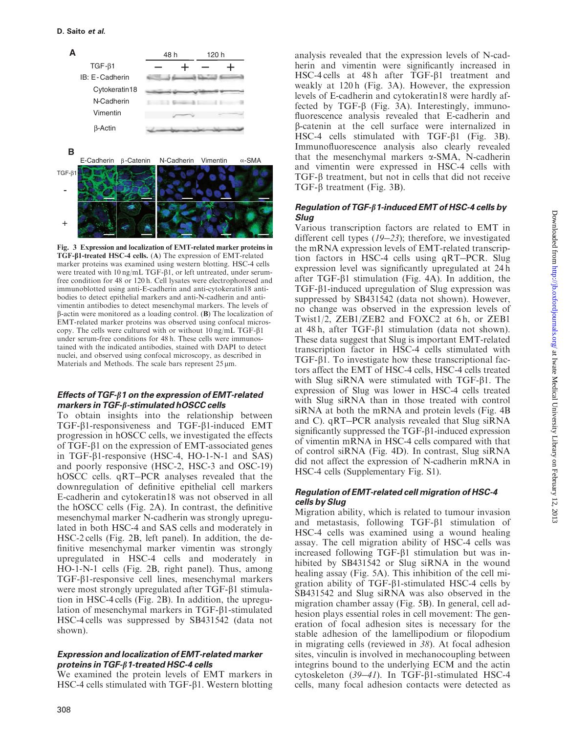<span id="page-5-0"></span>

Fig. 3 Expression and localization of EMT-related marker proteins in TGF-b1-treated HSC-4 cells. (A) The expression of EMT-related marker proteins was examined using western blotting. HSC-4 cells were treated with  $10 \text{ ng/mL TGF-}\beta1$ , or left untreated, under serumfree condition for 48 or 120 h. Cell lysates were electrophoresed and immunoblotted using anti-E-cadherin and anti-cytokeratin18 antibodies to detect epithelial markers and anti-N-cadherin and antivimentin antibodies to detect mesenchymal markers. The levels of  $\beta$ -actin were monitored as a loading control. (B) The localization of EMT-related marker proteins was observed using confocal microscopy. The cells were cultured with or without 10 ng/mL TGF-b1 under serum-free conditions for 48 h. These cells were immunostained with the indicated antibodies, stained with DAPI to detect nuclei, and observed using confocal microscopy, as described in Materials and Methods. The scale bars represent  $25 \,\mu m$ .

## Effects of TGF- $\beta$ 1 on the expression of EMT-related markers in TGF- $\beta$ -stimulated hOSCC cells

To obtain insights into the relationship between TGF-b1-responsiveness and TGF-b1-induced EMT progression in hOSCC cells, we investigated the effects of TGF- $\beta$ 1 on the expression of EMT-associated genes in TGF-b1-responsive (HSC-4, HO-1-N-1 and SAS) and poorly responsive (HSC-2, HSC-3 and OSC-19) hOSCC cells. qRT-PCR analyses revealed that the downregulation of definitive epithelial cell markers E-cadherin and cytokeratin18 was not observed in all the hOSCC cells [\(Fig. 2](#page-4-0)A). In contrast, the definitive mesenchymal marker N-cadherin was strongly upregulated in both HSC-4 and SAS cells and moderately in HSC-2 cells ([Fig. 2B](#page-4-0), left panel). In addition, the definitive mesenchymal marker vimentin was strongly upregulated in HSC-4 cells and moderately in HO-1-N-1 cells [\(Fig. 2B](#page-4-0), right panel). Thus, among TGF-b1-responsive cell lines, mesenchymal markers were most strongly upregulated after  $TGF- $\beta$ 1 stimulia$ tion in HSC-4 cells ([Fig. 2](#page-4-0)B). In addition, the upregulation of mesenchymal markers in  $TGF- $\beta$ 1-stimulated$ HSC-4 cells was suppressed by SB431542 (data not shown).

### Expression and localization of EMT-related marker proteins in TGF- $\beta$ 1-treated HSC-4 cells

We examined the protein levels of EMT markers in HSC-4 cells stimulated with  $TGF- $\beta$ 1. Western blotting$ 

analysis revealed that the expression levels of N-cadherin and vimentin were significantly increased in HSC-4 cells at 48 h after TGF- $\beta$ 1 treatment and weakly at 120 h (Fig. 3A). However, the expression levels of E-cadherin and cytokeratin18 were hardly affected by TGF- $\beta$  (Fig. 3A). Interestingly, immunofluorescence analysis revealed that E-cadherin and b-catenin at the cell surface were internalized in HSC-4 cells stimulated with  $TGF- $\beta$ 1 (Fig. 3B).$ Immunofluorescence analysis also clearly revealed that the mesenchymal markers  $\alpha$ -SMA, N-cadherin and vimentin were expressed in HSC-4 cells with  $TGF-\beta$  treatment, but not in cells that did not receive TGF- $\beta$  treatment (Fig. 3B).

## Regulation of TGF- $\beta$ 1-induced EMT of HSC-4 cells by Slug

Various transcription factors are related to EMT in different cell types ([19](#page-10-0)-[23](#page-10-0)); therefore, we investigated the mRNA expression levels of EMT-related transcription factors in HSC-4 cells using qRT-PCR. Slug expression level was significantly upregulated at 24 h after TGF- $\beta$ 1 stimulation [\(Fig. 4](#page-6-0)A). In addition, the TGF-b1-induced upregulation of Slug expression was suppressed by SB431542 (data not shown). However, no change was observed in the expression levels of Twist1/2, ZEB1/ZEB2 and FOXC2 at 6h, or ZEB1 at 48 h, after TGF-b1 stimulation (data not shown). These data suggest that Slug is important EMT-related transcription factor in HSC-4 cells stimulated with  $TGF- $\beta$ 1. To investigate how these transcriptional fac$ tors affect the EMT of HSC-4 cells, HSC-4 cells treated with Slug siRNA were stimulated with  $TGF- $\beta$ 1$ . The expression of Slug was lower in HSC-4 cells treated with Slug siRNA than in those treated with control siRNA at both the mRNA and protein levels ([Fig. 4B](#page-6-0) and C). qRT-PCR analysis revealed that Slug siRNA significantly suppressed the  $TGF- $\beta$ 1-induced expression$ of vimentin mRNA in HSC-4 cells compared with that of control siRNA [\(Fig. 4](#page-6-0)D). In contrast, Slug siRNA did not affect the expression of N-cadherin mRNA in HSC-4 cells [\(Supplementary Fig. S1](http://jb.oxfordjournals.org/lookup/suppl/doi:10.1093/jb/mvs144/-/DC1)).

## Regulation of EMT-related cell migration of HSC-4 cells by Slug

Migration ability, which is related to tumour invasion and metastasis, following  $TGF- $\beta$ 1 stimulation of$ HSC-4 cells was examined using a wound healing assay. The cell migration ability of HSC-4 cells was increased following TGF- $\beta$ 1 stimulation but was inhibited by SB431542 or Slug siRNA in the wound healing assay [\(Fig. 5](#page-7-0)A). This inhibition of the cell migration ability of TGF-b1-stimulated HSC-4 cells by SB431542 and Slug siRNA was also observed in the migration chamber assay ([Fig. 5B](#page-7-0)). In general, cell adhesion plays essential roles in cell movement: The generation of focal adhesion sites is necessary for the stable adhesion of the lamellipodium or filopodium in migrating cells (reviewed in [38](#page-11-0)). At focal adhesion sites, vinculin is involved in mechanocoupling between integrins bound to the underlying ECM and the actin cytoskeleton  $(39-41)$  $(39-41)$  $(39-41)$  $(39-41)$  $(39-41)$ . In TGF- $\beta$ 1-stimulated HSC-4 cells, many focal adhesion contacts were detected as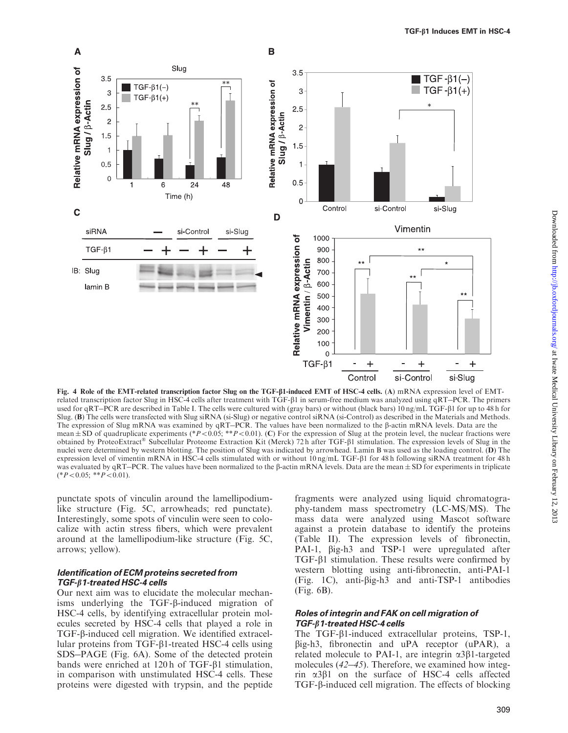<span id="page-6-0"></span>

Fig. 4 Role of the EMT-related transcription factor Slug on the TGF-b1-induced EMT of HSC-4 cells. (A) mRNA expression level of EMTrelated transcription factor Slug in HSC-4 cells after treatment with TGF- $\beta$ 1 in serum-free medium was analyzed using qRT-PCR. The primers used for qRT-PCR are described in [Table I.](#page-2-0) The cells were cultured with (gray bars) or without (black bars) 10 ng/mL TGF- $\beta$ 1 for up to 48 h for Slug. (B) The cells were transfected with Slug siRNA (si-Slug) or negative control siRNA (si-Control) as described in the Materials and Methods. The expression of Slug mRNA was examined by  $qRT$ –PCR. The values have been normalized to the  $\beta$ -actin mRNA levels. Data are the mean  $\pm$  SD of quadruplicate experiments (\*P<0.05; \*\*P<0.01). (C) For the expression of Slug at the protein level, the nuclear fractions were obtained by ProteoExtract<sup>®</sup> Subcellular Proteome Extraction Kit (Merck) 72h after TGF- $\beta$ 1 stimulation. The expression levels of Slug in the nuclei were determined by western blotting. The position of Slug was indicated by arrowhead. Lamin B was used as the loading control. (D) The expression level of vimentin mRNA in HSC-4 cells stimulated with or without  $10 \text{ ng/mL TGF-}\beta1$  for 48 h following siRNA treatment for 48 h was evaluated by qRT–PCR. The values have been normalized to the  $\beta$ -actin mRNA levels. Data are the mean  $\pm$  SD for experiments in triplicate  $(*P<0.05; **P<0.01).$ 

punctate spots of vinculin around the lamellipodiumlike structure ([Fig. 5C](#page-7-0), arrowheads; red punctate). Interestingly, some spots of vinculin were seen to colocalize with actin stress fibers, which were prevalent around at the lamellipodium-like structure ([Fig. 5](#page-7-0)C, arrows; yellow).

#### Identification of ECM proteins secreted from TGF- $\beta$ 1-treated HSC-4 cells

Our next aim was to elucidate the molecular mechanisms underlying the TGF-b-induced migration of HSC-4 cells, by identifying extracellular protein molecules secreted by HSC-4 cells that played a role in TGF-b-induced cell migration. We identified extracellular proteins from TGF- $\beta$ 1-treated HSC-4 cells using SDS-PAGE ([Fig. 6A](#page-8-0)). Some of the detected protein bands were enriched at  $120 h$  of TGF- $\beta$ 1 stimulation, in comparison with unstimulated HSC-4 cells. These proteins were digested with trypsin, and the peptide

fragments were analyzed using liquid chromatography-tandem mass spectrometry (LC-MS/MS). The mass data were analyzed using Mascot software against a protein database to identify the proteins [\(Table II](#page-8-0)). The expression levels of fibronectin, PAI-1,  $\beta$ ig-h3 and TSP-1 were upregulated after  $TGF- $\beta$ 1 stimulation. These results were confirmed by$ western blotting using anti-fibronectin, anti-PAI-1 [\(Fig. 1](#page-3-0)C), anti-big-h3 and anti-TSP-1 antibodies [\(Fig. 6B](#page-8-0)).

#### Roles of integrin and FAK on cell migration of TGF- $\beta$ 1-treated HSC-4 cells

The TGF-b1-induced extracellular proteins, TSP-1, big-h3, fibronectin and uPA receptor (uPAR), a related molecule to PAI-1, are integrin  $\alpha$ 3 $\beta$ 1-targeted molecules ([42](#page-11-0)–[45](#page-11-0)). Therefore, we examined how integrin  $\alpha$ 3 $\beta$ 1 on the surface of HSC-4 cells affected TGF-b-induced cell migration. The effects of blocking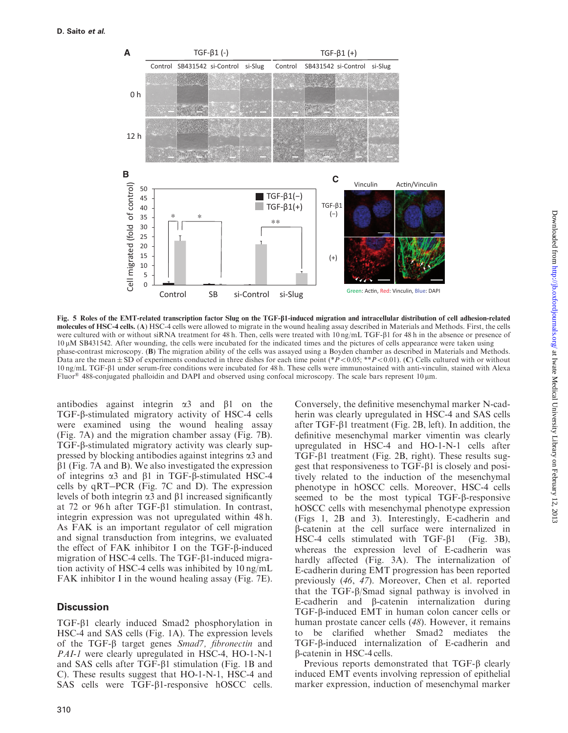<span id="page-7-0"></span>

Fig. 5 Roles of the EMT-related transcription factor Slug on the TGF-b1-induced migration and intracellular distribution of cell adhesion-related molecules of HSC-4 cells. (A) HSC-4 cells were allowed to migrate in the wound healing assay described in Materials and Methods. First, the cells were cultured with or without siRNA treatment for 48 h. Then, cells were treated with 10 ng/mL TGF- $\beta$ 1 for 48 h in the absence or presence of 10 mM SB431542. After wounding, the cells were incubated for the indicated times and the pictures of cells appearance were taken using phase-contrast microscopy. (B) The migration ability of the cells was assayed using a Boyden chamber as described in Materials and Methods. Data are the mean  $\pm$  SD of experiments conducted in three dishes for each time point (\*P < 0.05; \*\*P < 0.01). (C) Cells cultured with or without 10 ng/mL TGF-b1 under serum-free conditions were incubated for 48 h. These cells were immunostained with anti-vinculin, stained with Alexa Fluor<sup>®</sup> 488-conjugated phalloidin and DAPI and observed using confocal microscopy. The scale bars represent 10  $\mu$ m.

antibodies against integrin  $\alpha$ 3 and  $\beta$ 1 on the TGF-b-stimulated migratory activity of HSC-4 cells were examined using the wound healing assay ([Fig. 7](#page-9-0)A) and the migration chamber assay ([Fig. 7](#page-9-0)B). TGF-b-stimulated migratory activity was clearly suppressed by blocking antibodies against integrins  $\alpha$ 3 and  $\beta$ 1 ([Fig. 7A](#page-9-0) and B). We also investigated the expression of integrins  $\alpha$ 3 and  $\beta$ 1 in TGF- $\beta$ -stimulated HSC-4 cells by qRT-PCR ([Fig. 7](#page-9-0)C and D). The expression levels of both integrin  $\alpha$ 3 and  $\beta$ 1 increased significantly at 72 or 96 h after TGF- $\beta$ 1 stimulation. In contrast, integrin expression was not upregulated within 48 h. As FAK is an important regulator of cell migration and signal transduction from integrins, we evaluated the effect of FAK inhibitor I on the TGF- $\beta$ -induced migration of HSC-4 cells. The TGF- $\beta$ 1-induced migration activity of HSC-4 cells was inhibited by 10 ng/mL FAK inhibitor I in the wound healing assay [\(Fig. 7](#page-9-0)E).

## **Discussion**

TGF-b1 clearly induced Smad2 phosphorylation in HSC-4 and SAS cells ([Fig. 1](#page-3-0)A). The expression levels of the TGF- $\beta$  target genes Smad7, fibronectin and PAI-1 were clearly upregulated in HSC-4, HO-1-N-1 and SAS cells after TGF-b1 stimulation [\(Fig. 1B](#page-3-0) and C). These results suggest that HO-1-N-1, HSC-4 and SAS cells were TGF- $\beta$ 1-responsive hOSCC cells.

Downloaded from http://jb.oxfordjournals.org/ at Iwate Medical University Library on February 12, 2013 Downloaded from <http://jb.oxfordjournals.org/> at Iwate Medical University Library on February 12, 2013

Conversely, the definitive mesenchymal marker N-cadherin was clearly upregulated in HSC-4 and SAS cells after TGF- $\beta$ 1 treatment [\(Fig. 2](#page-4-0)B, left). In addition, the definitive mesenchymal marker vimentin was clearly upregulated in HSC-4 and HO-1-N-1 cells after TGF-b1 treatment ([Fig. 2B](#page-4-0), right). These results suggest that responsiveness to  $TGF- $\beta$ 1$  is closely and positively related to the induction of the mesenchymal phenotype in hOSCC cells. Moreover, HSC-4 cells seemed to be the most typical TGF-b-responsive hOSCC cells with mesenchymal phenotype expression [\(Figs 1](#page-3-0), [2](#page-4-0)B and [3](#page-5-0)). Interestingly, E-cadherin and b-catenin at the cell surface were internalized in HSC-4 cells stimulated with  $TGF- $\beta$ 1 (Fig. 3B),$  $TGF- $\beta$ 1 (Fig. 3B),$  $TGF- $\beta$ 1 (Fig. 3B),$ whereas the expression level of E-cadherin was hardly affected [\(Fig. 3A](#page-5-0)). The internalization of E-cadherin during EMT progression has been reported previously ([46](#page-11-0), [47](#page-11-0)). Moreover, Chen et al. reported that the TGF- $\beta$ /Smad signal pathway is involved in E-cadherin and b-catenin internalization during TGF-b-induced EMT in human colon cancer cells or human prostate cancer cells ([48](#page-11-0)). However, it remains to be clarified whether Smad2 mediates the TGF-b-induced internalization of E-cadherin and b-catenin in HSC-4 cells.

Previous reports demonstrated that  $TGF-\beta$  clearly induced EMT events involving repression of epithelial marker expression, induction of mesenchymal marker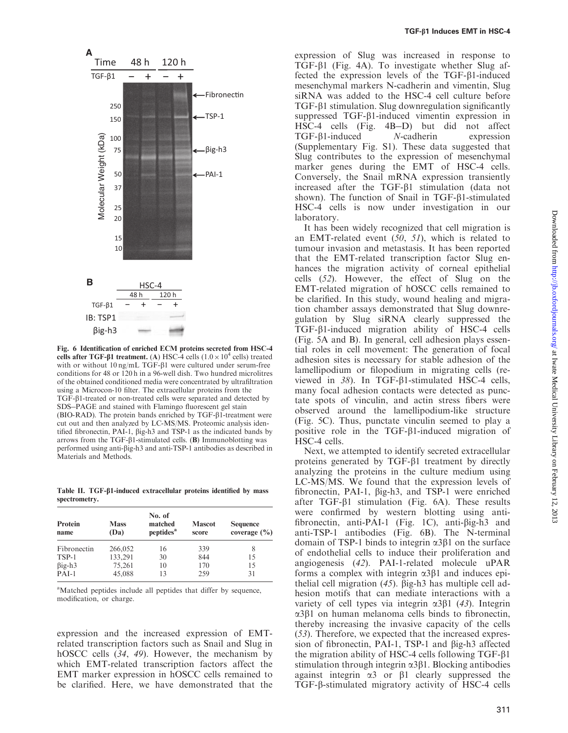<span id="page-8-0"></span>

Fig. 6 Identification of enriched ECM proteins secreted from HSC-4 cells after TGF- $\beta$ 1 treatment. (A) HSC-4 cells ( $1.0 \times 10^4$  cells) treated with or without  $10 \text{ ng/mL TGF-}\beta1$  were cultured under serum-free conditions for 48 or 120 h in a 96-well dish. Two hundred microlitres of the obtained conditioned media were concentrated by ultrafiltration using a Microcon-10 filter. The extracellular proteins from the TGF-b1-treated or non-treated cells were separated and detected by SDS-PAGE and stained with Flamingo fluorescent gel stain (BIO-RAD). The protein bands enriched by TGF- $\beta$ 1-treatment were cut out and then analyzed by LC-MS/MS. Proteomic analysis identified fibronectin, PAI-1, big-h3 and TSP-1 as the indicated bands by arrows from the TGF- $\beta$ 1-stimulated cells. (B) Immunoblotting was performed using anti-big-h3 and anti-TSP-1 antibodies as described in Materials and Methods.

Table II. TGF- $\beta$ 1-induced extracellular proteins identified by mass spectrometry.

| Protein<br>name | <b>Mass</b><br>(Da) | No. of<br>matched<br>peptides <sup>a</sup> | <b>Mascot</b><br>score | <b>Sequence</b><br>coverage $(\% )$ |  |
|-----------------|---------------------|--------------------------------------------|------------------------|-------------------------------------|--|
| Fibronectin     | 266,052             | 16                                         | 339                    | 8                                   |  |
| TSP-1           | 133,291             | 30                                         | 844                    | 15                                  |  |
| $\beta$ ig-h3   | 75,261              | 10                                         | 170                    | 15                                  |  |
| $PAI-1$         | 45,088              | 13                                         | 259                    | 31                                  |  |

<sup>a</sup>Matched peptides include all peptides that differ by sequence, modification, or charge.

expression and the increased expression of EMTrelated transcription factors such as Snail and Slug in hOSCC cells ([34](#page-11-0), [49](#page-11-0)). However, the mechanism by which EMT-related transcription factors affect the EMT marker expression in hOSCC cells remained to be clarified. Here, we have demonstrated that the

expression of Slug was increased in response to TGF-b1 ([Fig. 4](#page-6-0)A). To investigate whether Slug affected the expression levels of the TGF-b1-induced mesenchymal markers N-cadherin and vimentin, Slug siRNA was added to the HSC-4 cell culture before  $TGF- $\beta$ 1 stimulation. Slug downregulation significantly$ suppressed  $TGF- $\beta$ 1-induced vimentin expression in$ HSC-4 cells [\(Fig. 4](#page-6-0)B-D) but did not affect TGF-b1-induced N-cadherin expression [\(Supplementary Fig. S1](http://jb.oxfordjournals.org/lookup/suppl/doi:10.1093/jb/mvs144/-/DC1)). These data suggested that Slug contributes to the expression of mesenchymal marker genes during the EMT of HSC-4 cells. Conversely, the Snail mRNA expression transiently increased after the  $TGF- $\beta$ 1 stimulation (data not$ shown). The function of Snail in  $TGF- $\beta$ 1-stimulated$ HSC-4 cells is now under investigation in our laboratory.

It has been widely recognized that cell migration is an EMT-related event  $(50, 51)$  $(50, 51)$  $(50, 51)$  $(50, 51)$  $(50, 51)$ , which is related to tumour invasion and metastasis. It has been reported that the EMT-related transcription factor Slug enhances the migration activity of corneal epithelial cells ([52](#page-11-0)). However, the effect of Slug on the EMT-related migration of hOSCC cells remained to be clarified. In this study, wound healing and migration chamber assays demonstrated that Slug downregulation by Slug siRNA clearly suppressed the TGF-b1-induced migration ability of HSC-4 cells [\(Fig. 5A](#page-7-0) and B). In general, cell adhesion plays essential roles in cell movement: The generation of focal adhesion sites is necessary for stable adhesion of the lamellipodium or filopodium in migrating cells (reviewed in  $38$ ). In TGF- $\beta$ 1-stimulated HSC-4 cells, many focal adhesion contacts were detected as punctate spots of vinculin, and actin stress fibers were observed around the lamellipodium-like structure [\(Fig. 5C](#page-7-0)). Thus, punctate vinculin seemed to play a positive role in the  $TGF- $\beta$ 1-induced migration of$ HSC-4 cells.

Next, we attempted to identify secreted extracellular proteins generated by TGF-b1 treatment by directly analyzing the proteins in the culture medium using LC-MS/MS. We found that the expression levels of fibronectin, PAI-1, big-h3, and TSP-1 were enriched after TGF- $\beta$ 1 stimulation (Fig. 6A). These results were confirmed by western blotting using antifibronectin, anti-PAI-1 [\(Fig. 1C](#page-3-0)), anti-big-h3 and anti-TSP-1 antibodies (Fig. 6B). The N-terminal domain of TSP-1 binds to integrin  $\alpha$ 3 $\beta$ 1 on the surface of endothelial cells to induce their proliferation and angiogenesis ([42](#page-11-0)). PAI-1-related molecule uPAR forms a complex with integrin  $\alpha$ 3 $\beta$ 1 and induces epithelial cell migration  $(45)$  $(45)$  $(45)$ .  $\beta$ ig-h3 has multiple cell adhesion motifs that can mediate interactions with a variety of cell types via integrin  $\alpha$ 3 $\beta$ 1 ([43](#page-11-0)). Integrin  $\alpha$ 3 $\beta$ 1 on human melanoma cells binds to fibronectin, thereby increasing the invasive capacity of the cells ([53](#page-12-0)). Therefore, we expected that the increased expression of fibronectin, PAI-1, TSP-1 and  $\beta$ ig-h3 affected the migration ability of HSC-4 cells following TGF-b1 stimulation through integrin  $\alpha$ 3 $\beta$ 1. Blocking antibodies against integrin  $\alpha$ 3 or  $\beta$ 1 clearly suppressed the TGF-b-stimulated migratory activity of HSC-4 cells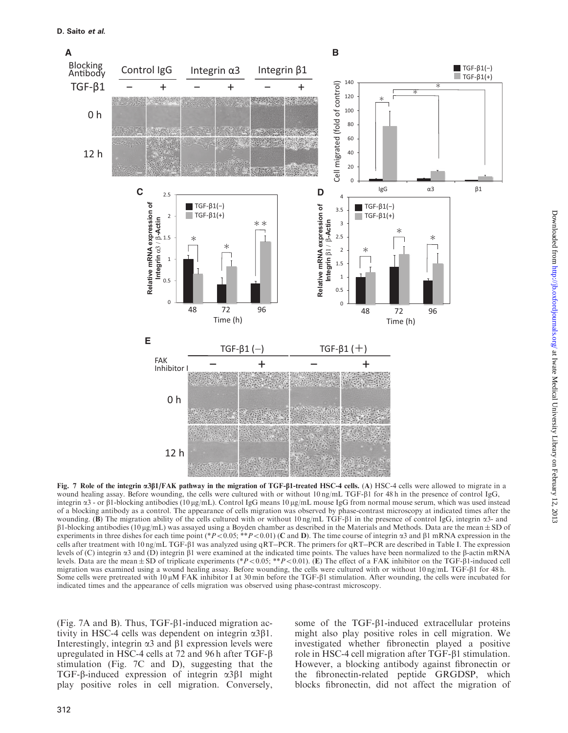<span id="page-9-0"></span>

Fig. 7 Role of the integrin  $\alpha$ 3 $\beta$ 1/FAK pathway in the migration of TGF- $\beta$ 1-treated HSC-4 cells. (A) HSC-4 cells were allowed to migrate in a wound healing assay. Before wounding, the cells were cultured with or without  $10 \text{ ng/mL TGF-}\beta1$  for 48 h in the presence of control IgG, integrin  $\alpha$ 3 - or  $\beta$ 1-blocking antibodies (10 µg/mL). Control IgG means 10 µg/mL mouse IgG from normal mouse serum, which was used instead of a blocking antibody as a control. The appearance of cells migration was observed by phase-contrast microscopy at indicated times after the wounding. (B) The migration ability of the cells cultured with or without  $10 \text{ ng/mL}$  TGF- $\beta1$  in the presence of control IgG, integrin  $\alpha3$ - and  $\beta$ 1-blocking antibodies (10 µg/mL) was assayed using a Boyden chamber as described in the Materials and Methods. Data are the mean  $\pm$  SD of experiments in three dishes for each time point (\*P < 0.05; \*\*P < 0.01) (C and D). The time course of integrin  $\alpha$ 3 and  $\beta$ 1 mRNA expression in the cells after treatment with 10 ng/mL TGF-β1 was analyzed using qRT–PCR. The primers for qRT–PCR are described in [Table I](#page-2-0). The expression levels of (C) integrin  $\alpha$ 3 and (D) integrin  $\beta$ 1 were examined at the indicated time points. The values have been normalized to the  $\beta$ -actin mRNA levels. Data are the mean  $\pm$  SD of triplicate experiments (\*P < 0.05; \*\*P < 0.01). (E) The effect of a FAK inhibitor on the TGF- $\beta$ 1-induced cell migration was examined using a wound healing assay. Before wounding, the cells were cultured with or without  $10 \text{ ng/mL TGF-}\beta1$  for 48 h. Some cells were pretreated with 10  $\mu$ M FAK inhibitor I at 30 min before the TGF- $\beta$ 1 stimulation. After wounding, the cells were incubated for indicated times and the appearance of cells migration was observed using phase-contrast microscopy.

 $(Fig. 7A$  and B). Thus, TGF- $\beta$ 1-induced migration activity in HSC-4 cells was dependent on integrin  $\alpha$ 3 $\beta$ 1. Interestingly, integrin  $\alpha$ 3 and  $\beta$ 1 expression levels were upregulated in HSC-4 cells at 72 and 96 h after TGF- $\beta$ stimulation (Fig. 7C and D), suggesting that the TGF- $\beta$ -induced expression of integrin  $\alpha$ 3 $\beta$ 1 might play positive roles in cell migration. Conversely,

some of the TGF- $\beta$ 1-induced extracellular proteins might also play positive roles in cell migration. We investigated whether fibronectin played a positive role in HSC-4 cell migration after TGF-β1 stimulation. However, a blocking antibody against fibronectin or the fibronectin-related peptide GRGDSP, which blocks fibronectin, did not affect the migration of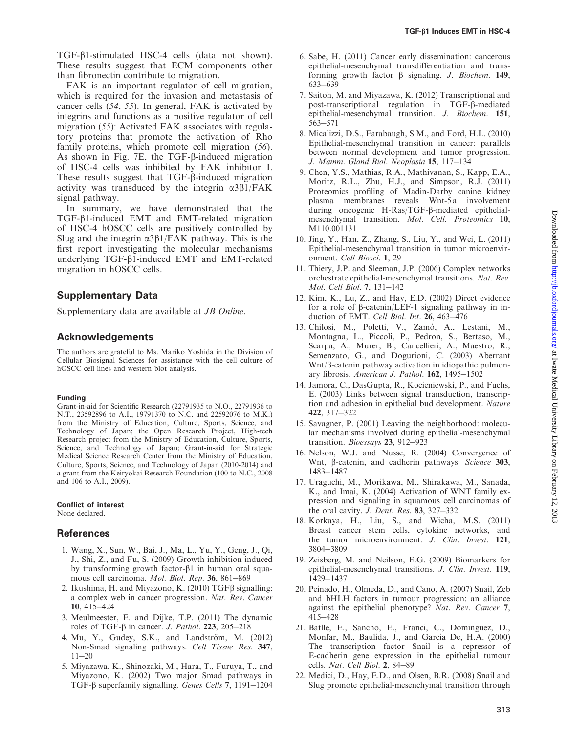<span id="page-10-0"></span>TGF-b1-stimulated HSC-4 cells (data not shown). These results suggest that ECM components other than fibronectin contribute to migration.

FAK is an important regulator of cell migration, which is required for the invasion and metastasis of cancer cells ([54](#page-12-0), [55](#page-12-0)). In general, FAK is activated by integrins and functions as a positive regulator of cell migration ([55](#page-12-0)): Activated FAK associates with regulatory proteins that promote the activation of Rho family proteins, which promote cell migration ([56](#page-12-0)). As shown in [Fig. 7](#page-9-0)E, the TGF-b-induced migration of HSC-4 cells was inhibited by FAK inhibitor I. These results suggest that TGF- $\beta$ -induced migration activity was transduced by the integrin  $\alpha$ 3 $\beta$ 1/FAK signal pathway.

In summary, we have demonstrated that the TGF-b1-induced EMT and EMT-related migration of HSC-4 hOSCC cells are positively controlled by Slug and the integrin  $\alpha$ 3 $\beta$ 1/FAK pathway. This is the first report investigating the molecular mechanisms underlying TGF-β1-induced EMT and EMT-related migration in hOSCC cells.

### Supplementary Data

[Supplementary data](http://jb.oxfordjournals.org/lookup/suppl/doi:10.1093/jb/mvs144/-/DC1) are available at JB Online.

### Acknowledgements

The authors are grateful to Ms. Mariko Yoshida in the Division of Cellular Biosignal Sciences for assistance with the cell culture of hOSCC cell lines and western blot analysis.

#### Funding

Grant-in-aid for Scientific Research (22791935 to N.O., 22791936 to N.T., 23592896 to A.I., 19791370 to N.C. and 22592076 to M.K.) from the Ministry of Education, Culture, Sports, Science, and Technology of Japan; the Open Research Project, High-tech Research project from the Ministry of Education, Culture, Sports, Science, and Technology of Japan; Grant-in-aid for Strategic Medical Science Research Center from the Ministry of Education, Culture, Sports, Science, and Technology of Japan (2010-2014) and a grant from the Keiryokai Research Foundation (100 to N.C., 2008 and 106 to A.I., 2009).

## Conflict of interest

None declared.

### References

- 1. Wang, X., Sun, W., Bai, J., Ma, L., Yu, Y., Geng, J., Qi, J., Shi, Z., and Fu, S. (2009) Growth inhibition induced by transforming growth factor- $\beta$ 1 in human oral squamous cell carcinoma. Mol. Biol. Rep. 36, 861-869
- 2. Ikushima, H. and Miyazono, K. (2010)  $TGF\beta$  signalling: a complex web in cancer progression. Nat. Rev. Cancer 10, 415-424
- 3. Meulmeester, E. and Dijke, T.P. (2011) The dynamic roles of TGF- $\beta$  in cancer. *J. Pathol.* 223, 205-218
- 4. Mu, Y., Gudey, S.K., and Landström, M.  $(2012)$ Non-Smad signaling pathways. Cell Tissue Res. 347, 11-20
- 5. Miyazawa, K., Shinozaki, M., Hara, T., Furuya, T., and Miyazono, K. (2002) Two major Smad pathways in TGF-β superfamily signalling. Genes Cells 7, 1191-1204
- 6. Sabe, H. (2011) Cancer early dissemination: cancerous epithelial-mesenchymal transdifferentiation and transforming growth factor  $\beta$  signaling. *J. Biochem.* 149, 633-639
- 7. Saitoh, M. and Miyazawa, K. (2012) Transcriptional and post-transcriptional regulation in TGF-b-mediated epithelial-mesenchymal transition. J. Biochem. 151, 563-571
- 8. Micalizzi, D.S., Farabaugh, S.M., and Ford, H.L. (2010) Epithelial-mesenchymal transition in cancer: parallels between normal development and tumor progression. J. Mamm. Gland Biol. Neoplasia 15, 117-134
- 9. Chen, Y.S., Mathias, R.A., Mathivanan, S., Kapp, E.A., Moritz, R.L., Zhu, H.J., and Simpson, R.J. (2011) Proteomics profiling of Madin-Darby canine kidney plasma membranes reveals Wnt-5 a involvement during oncogenic H-Ras/TGF-b-mediated epithelialmesenchymal transition. Mol. Cell. Proteomics 10, M110.001131
- 10. Jing, Y., Han, Z., Zhang, S., Liu, Y., and Wei, L. (2011) Epithelial-mesenchymal transition in tumor microenvironment. Cell Biosci. 1, 29
- 11. Thiery, J.P. and Sleeman, J.P. (2006) Complex networks orchestrate epithelial-mesenchymal transitions. Nat. Rev. Mol. Cell Biol. 7, 131-142
- 12. Kim, K., Lu, Z., and Hay, E.D. (2002) Direct evidence for a role of  $\beta$ -catenin/LEF-1 signaling pathway in induction of EMT. Cell Biol. Int. 26, 463-476
- 13. Chilosi, M., Poletti, V., Zamò, A., Lestani, M., Montagna, L., Piccoli, P., Pedron, S., Bertaso, M., Scarpa, A., Murer, B., Cancellieri, A., Maestro, R., Semenzato, G., and Dogurioni, C. (2003) Aberrant Wnt/b-catenin pathway activation in idiopathic pulmonary fibrosis. American J. Pathol. 162, 1495-1502
- 14. Jamora, C., DasGupta, R., Kocieniewski, P., and Fuchs, E. (2003) Links between signal transduction, transcription and adhesion in epithelial bud development. Nature 422, 317-322
- 15. Savagner, P. (2001) Leaving the neighborhood: molecular mechanisms involved during epithelial-mesenchymal transition. Bioessays 23, 912-923
- 16. Nelson, W.J. and Nusse, R. (2004) Convergence of Wnt, B-catenin, and cadherin pathways. Science 303, 1483-1487
- 17. Uraguchi, M., Morikawa, M., Shirakawa, M., Sanada, K., and Imai, K. (2004) Activation of WNT family expression and signaling in squamous cell carcinomas of the oral cavity. *J. Dent. Res.* **83**, 327-332
- 18. Korkaya, H., Liu, S., and Wicha, M.S. (2011) Breast cancer stem cells, cytokine networks, and the tumor microenvironment. J. Clin. Invest. 121, 3804-3809
- 19. Zeisberg, M. and Neilson, E.G. (2009) Biomarkers for epithelial-mesenchymal transitions. J. Clin. Invest. 119, 1429-1437
- 20. Peinado, H., Olmeda, D., and Cano, A. (2007) Snail, Zeb and bHLH factors in tumour progression: an alliance against the epithelial phenotype? Nat. Rev. Cancer 7, 415-428
- 21. Batlle, E., Sancho, E., Franci, C., Dominguez, D., Monfar, M., Baulida, J., and Garcia De, H.A. (2000) The transcription factor Snail is a repressor of E-cadherin gene expression in the epithelial tumour cells. Nat. Cell Biol. 2, 84-89
- 22. Medici, D., Hay, E.D., and Olsen, B.R. (2008) Snail and Slug promote epithelial-mesenchymal transition through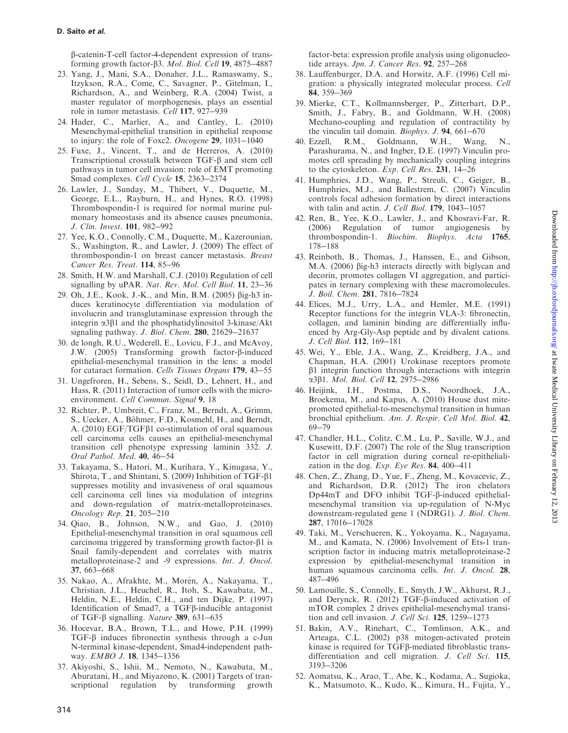<span id="page-11-0"></span>b-catenin-T-cell factor-4-dependent expression of transforming growth factor- $\beta$ 3. Mol. Biol. Cell 19, 4875-4887

- 23. Yang, J., Mani, S.A., Donaher, J.L., Ramaswamy, S., Itzykson, R.A., Come, C., Savagner, P., Gitelman, I., Richardson, A., and Weinberg, R.A. (2004) Twist, a master regulator of morphogenesis, plays an essential role in tumor metastasis. Cell 117, 927-939
- 24. Hader, C., Marlier, A., and Cantley, L. (2010) Mesenchymal-epithelial transition in epithelial response to injury: the role of Foxc2. Oncogene 29, 1031-1040
- 25. Fuxe, J., Vincent, T., and de Herreros, A. (2010) Transcriptional crosstalk between TGF- $\beta$  and stem cell pathways in tumor cell invasion: role of EMT promoting Smad complexes. Cell Cycle 15, 2363-2374
- 26. Lawler, J., Sunday, M., Thibert, V., Duquette, M., George, E.L., Rayburn, H., and Hynes, R.O. (1998) Thrombospondin-1 is required for normal murine pulmonary homeostasis and its absence causes pneumonia, J. Clin. Invest. **101**, 982–992
- 27. Yee, K.O., Connolly, C.M., Duquette, M., Kazerounian, S., Washington, R., and Lawler, J. (2009) The effect of thrombospondin-1 on breast cancer metastasis. Breast Cancer Res. Treat. 114, 85-96
- 28. Smith, H.W. and Marshall, C.J. (2010) Regulation of cell signalling by uPAR. Nat. Rev. Mol. Cell Biol. 11, 23-36
- 29. Oh, J.E., Kook, J.-K., and Min, B.M. (2005) big-h3 induces keratinocyte differentiation via modulation of involucrin and transglutaminase expression through the integrin  $\alpha$ 3 $\beta$ 1 and the phosphatidylinositol 3-kinase/Akt signaling pathway. J. Biol. Chem. 280, 21629-21637
- 30. de longh, R.U., Wederell, E., Lovicu, F.J., and McAvoy, J.W. (2005) Transforming growth factor-b-induced epithelial-mesenchymal transition in the lens: a model for cataract formation. Cells Tissues Organs 179, 43-55
- 31. Ungefroren, H., Sebens, S., Seidl, D., Lehnert, H., and Hass, R. (2011) Interaction of tumor cells with the microenvironment. Cell Commun. Signal 9, 18
- 32. Richter, P., Umbreit, C., Franz, M., Berndt, A., Grimm, S., Uecker, A., Böhmer, F.D., Kosmehl, H., and Berndt, A. (2010) EGF/TGF $\beta$ 1 co-stimulation of oral squamous cell carcinoma cells causes an epithelial-mesenchymal transition cell phenotype expressing laminin 332. J. Oral Pathol. Med. 40, 46-54
- 33. Takayama, S., Hatori, M., Kurihara, Y., Kinugasa, Y., Shirota, T., and Shintani, S. (2009) Inhibition of TGF- $\beta$ 1 suppresses motility and invasiveness of oral squamous cell carcinoma cell lines via modulation of integrins and down-regulation of matrix-metalloproteinases. Oncology Rep. 21, 205-210
- 34. Qiao, B., Johnson, N.W., and Gao, J. (2010) Epithelial-mesenchymal transition in oral squamous cell carcinoma triggered by transforming growth factor- $\beta$ 1 is Snail family-dependent and correlates with matrix metalloproteinase-2 and -9 expressions. Int. J. Oncol. 37, 663-668
- 35. Nakao, A., Afrakhte, M., Morén, A., Nakayama, T., Christian, J.L., Heuchel, R., Itoh, S., Kawabata, M., Heldin, N.E., Heldin, C.H., and ten Dijke, P. (1997) Identification of Smad7, a TGFb-inducible antagonist of TGF- $\beta$  signalling. Nature 389, 631-635
- 36. Hocevar, B.A., Brown, T.L., and Howe, P.H. (1999) TGF-b induces fibronectin synthesis through a c-Jun N-terminal kinase-dependent, Smad4-independent pathway. EMBO J. 18, 1345-1356
- 37. Akiyoshi, S., Ishii, M., Nemoto, N., Kawabata, M., Aburatani, H., and Miyazono, K. (2001) Targets of transcriptional regulation by transforming growth

factor-beta: expression profile analysis using oligonucleotide arrays. Jpn. J. Cancer Res. 92, 257-268

- 38. Lauffenburger, D.A. and Horwitz, A.F. (1996) Cell migration: a physically integrated molecular process. Cell 84, 359-369
- 39. Mierke, C.T., Kollmannsberger, P., Zitterbart, D.P., Smith, J., Fabry, B., and Goldmann, W.H. (2008) Mechano-coupling and regulation of contractility by the vinculin tail domain. Biophys. J. 94, 661-670
- 40. Ezzell, R.M., Goldmann, W.H., Wang, Parashurama, N., and Ingber, D.E. (1997) Vinculin promotes cell spreading by mechanically coupling integrins to the cytoskeleton. Exp. Cell Res. 231, 14-26
- 41. Humphries, J.D., Wang, P., Streuli, C., Geiger, B., Humphries, M.J., and Ballestrem, C. (2007) Vinculin controls focal adhesion formation by direct interactions with talin and actin. *J. Cell Biol*. **179**, 1043-1057
- 42. Ren, B., Yee, K.O., Lawler, J., and Khosravi-Far, R. (2006) Regulation of tumor angiogenesis by thrombospondin-1. Biochim. Biophys. Acta 1765, 178-188
- 43. Reinboth, B., Thomas, J., Hanssen, E., and Gibson, M.A. (2006)  $\beta$ ig-h3 interacts directly with biglycan and decorin, promotes collagen VI aggregation, and participates in ternary complexing with these macromolecules. J. Boil. Chem. 281, 7816-7824
- 44. Elices, M.J., Urry, L.A., and Hemler, M.E. (1991) Receptor functions for the integrin VLA-3: fibronectin, collagen, and laminin binding are differentially influenced by Arg-Gly-Asp peptide and by divalent cations. J. Cell Biol. 112, 169-181
- 45. Wei, Y., Eble, J.A., Wang, Z., Kreidberg, J.A., and Chapman, H.A. (2001) Urokinase receptors promote  $\beta$ 1 integrin function through interactions with integrin α3β1. Mol. Biol. Cell 12, 2975-2986
- 46. Heijink, I.H., Postma, D.S., Noordhoek, J.A., Broekema, M., and Kapus, A. (2010) House dust mitepromoted epithelial-to-mesenchymal transition in human bronchial epithelium. Am. J. Respir. Cell Mol. Biol. 42, 69-79
- 47. Chandler, H.L., Colitz, C.M., Lu, P., Saville, W.J., and Kusewitt, D.F. (2007) The role of the Slug transcription factor in cell migration during corneal re-epithelialization in the dog. Exp. Eye Res.  $84$ , 400-411
- 48. Chen, Z., Zhang, D., Yue, F., Zheng, M., Kovacevic, Z., and Richardson, D.R. (2012) The iron chelators Dp44mT and DFO inhibit TGF-β-induced epithelialmesenchymal transition via up-regulation of N-Myc downstream-regulated gene 1 (NDRG1). J. Biol. Chem. 287, 17016-17028
- 49. Taki, M., Verschueren, K., Yokoyama, K., Nagayama, M., and Kamata, N. (2006) Involvement of Ets-1 transcription factor in inducing matrix metalloproteinase-2 expression by epithelial-mesenchymal transition in human squamous carcinoma cells. Int. J. Oncol. 28, 487-496
- 50. Lamouille, S., Connolly, E., Smyth, J.W., Akhurst, R.J., and Derynck, R. (2012) TGF- $\beta$ -induced activation of mTOR complex 2 drives epithelial-mesenchymal transition and cell invasion. J. Cell Sci. 125, 1259-1273
- 51. Bakin, A.V., Rinehart, C., Tomlinson, A.K., and Arteaga, C.L. (2002) p38 mitogen-activated protein kinase is required for TGFb-mediated fibroblastic transdifferentiation and cell migration. J. Cell Sci. 115, 3193-3206
- 52. Aomatsu, K., Arao, T., Abe, K., Kodama, A., Sugioka, K., Matsumoto, K., Kudo, K., Kimura, H., Fujita, Y.,